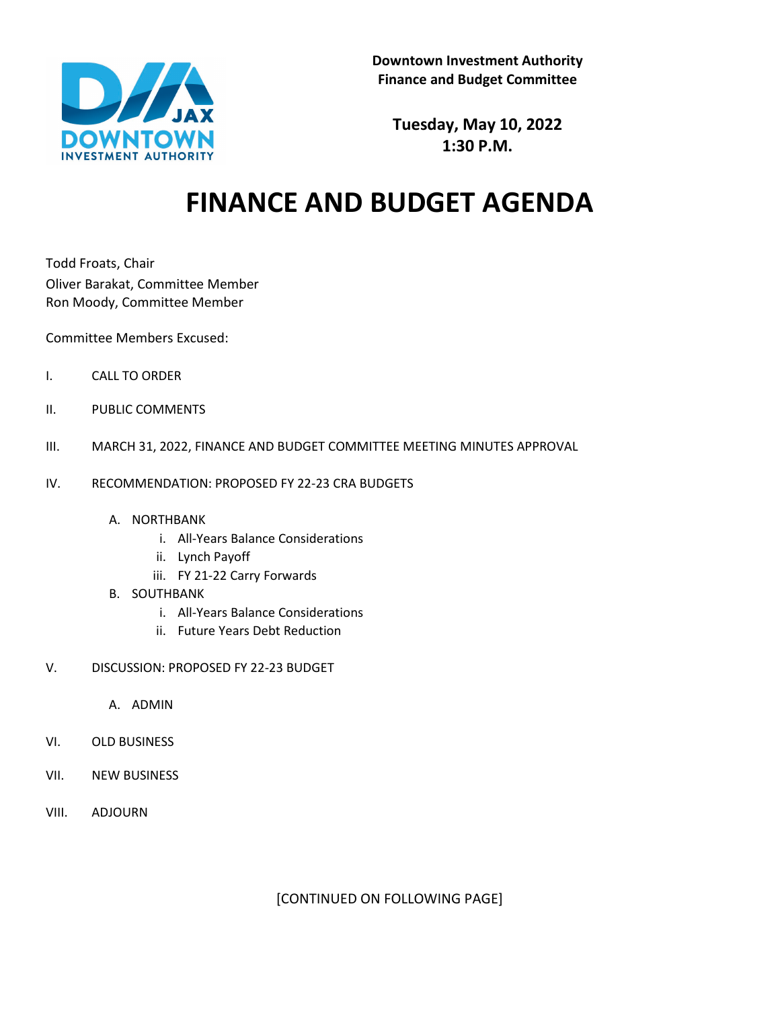

**Tuesday, May 10, 2022 1:30 P.M.**

## **FINANCE AND BUDGET AGENDA**

Todd Froats, Chair Oliver Barakat, Committee Member Ron Moody, Committee Member

Committee Members Excused:

- I. CALL TO ORDER
- II. PUBLIC COMMENTS
- III. MARCH 31, 2022, FINANCE AND BUDGET COMMITTEE MEETING MINUTES APPROVAL
- IV. RECOMMENDATION: PROPOSED FY 22-23 CRA BUDGETS
	- A. NORTHBANK
		- i. All-Years Balance Considerations
		- ii. Lynch Payoff
		- iii. FY 21-22 Carry Forwards
	- B. SOUTHBANK
		- i. All-Years Balance Considerations
		- ii. Future Years Debt Reduction
- V. DISCUSSION: PROPOSED FY 22-23 BUDGET
	- A. ADMIN
- VI. OLD BUSINESS
- VII. NEW BUSINESS
- VIII. ADJOURN

[CONTINUED ON FOLLOWING PAGE]